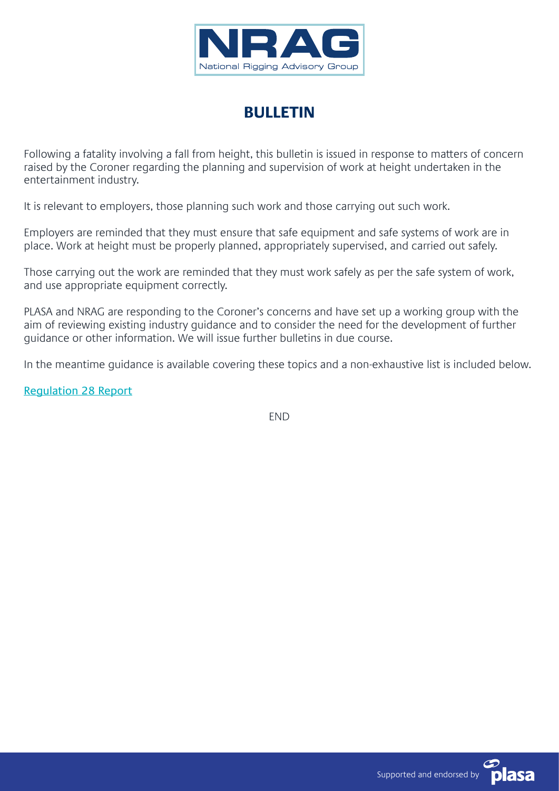

## **BULLETIN**

Following a fatality involving a fall from height, this bulletin is issued in response to matters of concern raised by the Coroner regarding the planning and supervision of work at height undertaken in the entertainment industry.

It is relevant to employers, those planning such work and those carrying out such work.

Employers are reminded that they must ensure that safe equipment and safe systems of work are in place. Work at height must be properly planned, appropriately supervised, and carried out safely.

Those carrying out the work are reminded that they must work safely as per the safe system of work, and use appropriate equipment correctly.

PLASA and NRAG are responding to the Coroner's concerns and have set up a working group with the aim of reviewing existing industry guidance and to consider the need for the development of further guidance or other information. We will issue further bulletins in due course.

In the meantime guidance is available covering these topics and a non-exhaustive list is included below.

[Regulation 28 Report](https://www.judiciary.uk/wp-content/uploads/2019/12/Russell-BOWRY-2019-0373_Redacted.pdf)

END